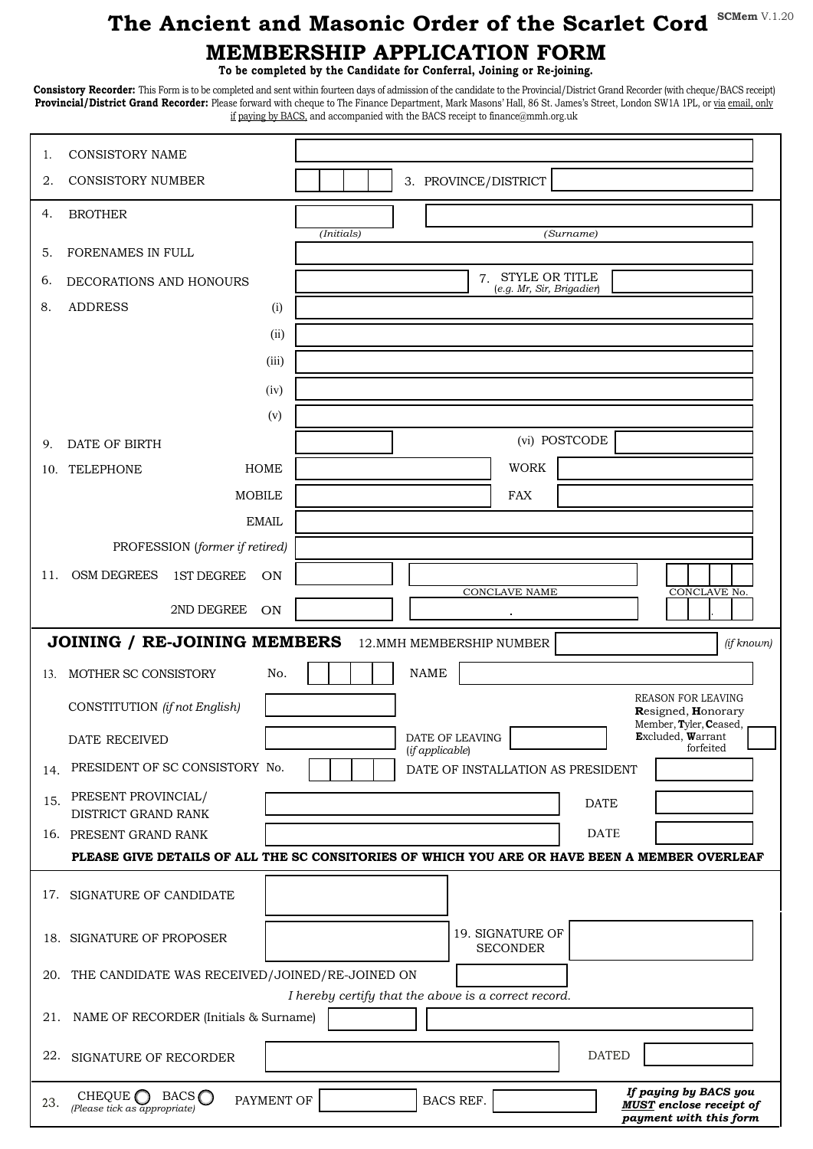## **MEMBERSHIP APPLICATION FORM The Ancient and Masonic Order of the Scarlet Cord**  $^{\text{SCMem V.1.20}}$

**To be completed by the Candidate for Conferral, Joining or Re-joining.** 

**Consistory Recorder:** This Form is to be completed and sent within fourteen days of admission of the candidate to the Provincial/District Grand Recorder (with cheque/BACS receipt) **Provincial/District Grand Recorder:** Please forward with cheque to The Finance Department, Mark Masons' Hall, 86 St. James's Street, London SW1A 1PL, or via email, only if paying by BACS, and accompanied with the BACS receipt to finance@mmh.org.uk

| 1.                                                                                            | <b>CONSISTORY NAME</b>                                                           |                                                                                                |
|-----------------------------------------------------------------------------------------------|----------------------------------------------------------------------------------|------------------------------------------------------------------------------------------------|
| 2.                                                                                            | <b>CONSISTORY NUMBER</b>                                                         | 3. PROVINCE/DISTRICT                                                                           |
| 4.                                                                                            | <b>BROTHER</b>                                                                   |                                                                                                |
| 5.                                                                                            | FORENAMES IN FULL                                                                | (Initials)<br>(Surname)                                                                        |
| 6.                                                                                            | DECORATIONS AND HONOURS                                                          | 7. STYLE OR TITLE                                                                              |
| 8.                                                                                            | <b>ADDRESS</b><br>(i)                                                            | (e.g. Mr, Sir, Brigadier)                                                                      |
|                                                                                               | (ii)                                                                             |                                                                                                |
|                                                                                               | (iii)                                                                            |                                                                                                |
|                                                                                               | (iv)                                                                             |                                                                                                |
|                                                                                               | (v)                                                                              |                                                                                                |
| 9.                                                                                            | DATE OF BIRTH                                                                    | (vi) POSTCODE                                                                                  |
| 10.                                                                                           | TELEPHONE<br>HOME                                                                | <b>WORK</b>                                                                                    |
|                                                                                               | <b>MOBILE</b>                                                                    | <b>FAX</b>                                                                                     |
|                                                                                               | <b>EMAIL</b>                                                                     |                                                                                                |
|                                                                                               | PROFESSION (former if retired)                                                   |                                                                                                |
| 11.                                                                                           | <b>OSM DEGREES</b><br><b>1ST DEGREE</b><br>ON                                    | <b>CONCLAVE NAME</b><br>CONCLAVE No.                                                           |
|                                                                                               | 2ND DEGREE<br>ON                                                                 |                                                                                                |
| JOINING / RE-JOINING MEMBERS<br>12. MMH MEMBERSHIP NUMBER<br>(if known)                       |                                                                                  |                                                                                                |
| 13.                                                                                           | MOTHER SC CONSISTORY<br>No.                                                      | <b>NAME</b>                                                                                    |
|                                                                                               | CONSTITUTION (if not English)                                                    | <b>REASON FOR LEAVING</b><br>Resigned, Honorary                                                |
|                                                                                               | DATE RECEIVED                                                                    | Member, Tyler, Ceased,<br>Excluded, Warrant<br>DATE OF LEAVING<br>forfeited<br>(if applicable) |
| 14.                                                                                           | PRESIDENT OF SC CONSISTORY No.                                                   | DATE OF INSTALLATION AS PRESIDENT                                                              |
| 15.                                                                                           | PRESENT PROVINCIAL/                                                              | <b>DATE</b>                                                                                    |
|                                                                                               | DISTRICT GRAND RANK<br>16. PRESENT GRAND RANK                                    | <b>DATE</b>                                                                                    |
| PLEASE GIVE DETAILS OF ALL THE SC CONSITORIES OF WHICH YOU ARE OR HAVE BEEN A MEMBER OVERLEAF |                                                                                  |                                                                                                |
|                                                                                               | 17. SIGNATURE OF CANDIDATE                                                       |                                                                                                |
|                                                                                               | 18. SIGNATURE OF PROPOSER                                                        | 19. SIGNATURE OF<br><b>SECONDER</b>                                                            |
|                                                                                               | 20. THE CANDIDATE WAS RECEIVED/JOINED/RE-JOINED ON                               |                                                                                                |
| 21.                                                                                           | NAME OF RECORDER (Initials & Surname)                                            | I hereby certify that the above is a correct record.                                           |
| 22.                                                                                           | SIGNATURE OF RECORDER                                                            | <b>DATED</b>                                                                                   |
| 23.                                                                                           | CHEQUE $\bigcap$<br>BACS $\bigcap$<br>PAYMENT OF<br>(Please tick as appropriate) | If paying by BACS you<br>BACS REF.<br><b>MUST</b> enclose receipt of<br>payment with this form |